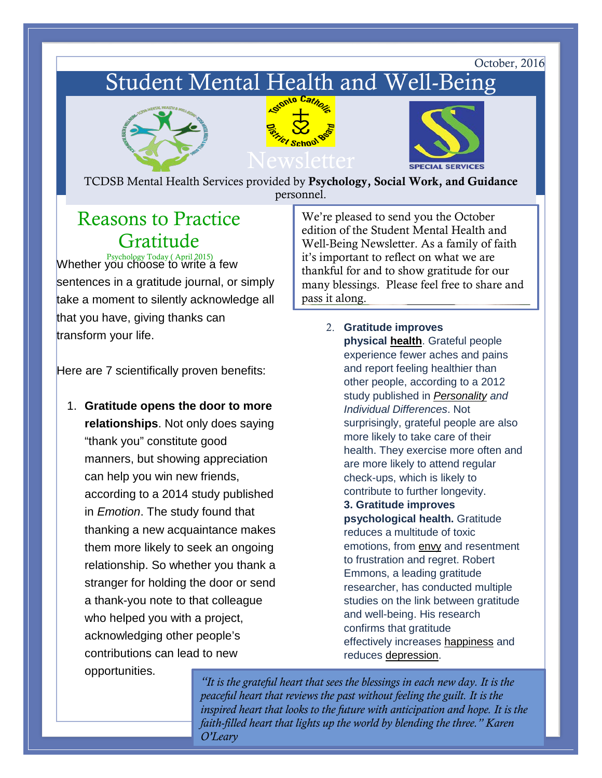October, 2016

# Student Mental Health and Well-Being







TCDSB Mental Health Services provided by Psychology, Social Work, and Guidance personnel.

## Reasons to Practice Gratitude

**Psychology Today ( April 2015)**<br>Whether you choose to write a few sentences in a gratitude journal, or simply take a moment to silently acknowledge all that you have, giving thanks can transform your life.

Here are 7 scientifically proven benefits:

1. **Gratitude opens the door to more relationships**. Not only does saying "thank you" constitute good manners, but showing appreciation can help you win new friends, according to a 2014 study published in *Emotion*. The study found that thanking a new acquaintance makes them more likely to seek an ongoing relationship. So whether you thank a stranger for holding the door or send a thank-you note to that colleague who helped you with a project, acknowledging other people's contributions can lead to new opportunities.

We're pleased to send you the October edition of the Student Mental Health and Well-Being Newsletter. As a family of faith it's important to reflect on what we are thankful for and to show gratitude for our many blessings. Please feel free to share and pass it along.

> 2. **Gratitude improves physical [health](https://www.psychologytoday.com/basics/health)**. Grateful people experience fewer aches and pains and report feeling healthier than other people, according to a 2012 study published in *[Personality](https://www.psychologytoday.com/basics/personality) and Individual Differences*. Not surprisingly, grateful people are also more likely to take care of their health. They exercise more often and are more likely to attend regular check-ups, which is likely to contribute to further longevity. **3. Gratitude improves**

**psychological health.** Gratitude reduces a multitude of toxic emotions, from [envy](https://www.psychologytoday.com/basics/jealousy) and resentment to frustration and regret. Robert Emmons, a leading gratitude researcher, has conducted multiple studies on the link between gratitude and well-being. His research confirms that gratitude effectively increases **happiness** and reduces [depression.](https://www.psychologytoday.com/basics/depression)

*"It is the grateful heart that sees the blessings in each new day. It is the peaceful heart that reviews the past without feeling the guilt. It is the inspired heart that looks to the future with anticipation and hope. It is the faith-filled heart that lights up the world by blending the three." Karen O'Leary*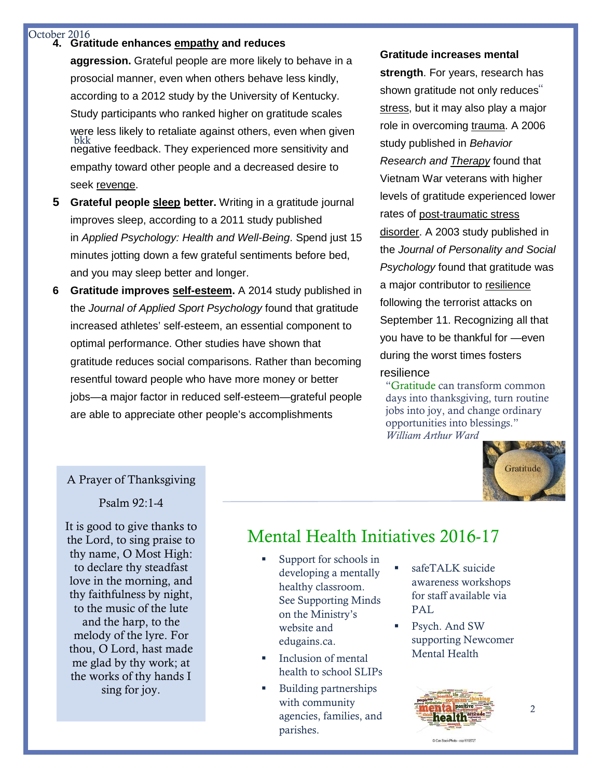#### October 2016

### **4. Gratitude enhances [empathy](https://www.psychologytoday.com/basics/empathy) and reduces**

bkk **aggression.** Grateful people are more likely to behave in a prosocial manner, even when others behave less kindly, according to a 2012 study by the University of Kentucky. Study participants who ranked higher on gratitude scales were less likely to retaliate against others, even when given negative feedback. They experienced more sensitivity and empathy toward other people and a decreased desire to seek [revenge.](https://www.psychologytoday.com/basics/punishment)

- **5 Grateful people [sleep](https://www.psychologytoday.com/basics/sleep) better.** Writing in a gratitude journal improves sleep, according to a 2011 study published in *Applied Psychology: Health and Well-Being*. Spend just 15 minutes jotting down a few grateful sentiments before bed, and you may sleep better and longer.
- **6 Gratitude improves [self-esteem.](https://www.psychologytoday.com/basics/self-esteem)** A 2014 study published in the *Journal of Applied Sport Psychology* found that gratitude increased athletes' self-esteem, an essential component to optimal performance. Other studies have shown that gratitude reduces social comparisons. Rather than becoming resentful toward people who have more money or better jobs—a major factor in reduced self-esteem—grateful people are able to appreciate other people's accomplishments

#### **Gratitude increases mental**

**strength**. For years, research has shown gratitude not only reduces" [stress,](https://www.psychologytoday.com/basics/stress) but it may also play a major role in overcoming [trauma.](https://www.psychologytoday.com/basics/trauma) A 2006 study published in *Behavior Research and [Therapy](https://www.psychologytoday.com/basics/therapy)* found that Vietnam War veterans with higher levels of gratitude experienced lower rates of [post-traumatic stress](https://www.psychologytoday.com/basics/post-traumatic-stress-disorder)  [disorder.](https://www.psychologytoday.com/basics/post-traumatic-stress-disorder) A 2003 study published in the *Journal of Personality and Social Psychology* found that gratitude was a major contributor to [resilience](https://www.psychologytoday.com/basics/resilience) following the terrorist attacks on September 11. Recognizing all that you have to be thankful for —even during the worst times fosters resilience

"Gratitude can transform common days into thanksgiving, turn routine jobs into joy, and change ordinary opportunities into blessings." *William Arthur Ward*



### A Prayer of Thanksgiving

Psalm 92:1-4

It is good to give thanks to Ine Lord, to sing praise to<br>thy name, O Most High: to declare thy steadfast thy faithfulness by night, and the harp, to the melody of the lyre. For me glad by thy work; at  $\frac{1}{2}$  the works of thy hands I the Lord, to sing praise to love in the morning, and to the music of the lute thou, O Lord, hast made sing for joy.

### Mental Health Initiatives 2016-17

- Support for schools in developing a mentally healthy classroom. See Supporting Minds on the Ministry's website and edugains.ca.
- Inclusion of mental health to school SLIPs
- Building partnerships with community agencies, families, and parishes.
- safeTALK suicide awareness workshops for staff available via PAL.
- Psych. And SW supporting Newcomer Mental Health